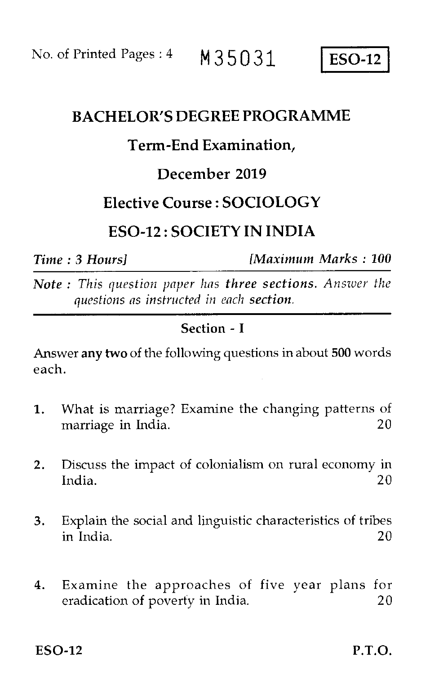No. of Printed Pages : 4 M35031 ESO-12

# BACHELOR'S DEGREE PROGRAMME

# Term-End Examination,

# December 2019

# Elective Course : SOCIOLOGY

# ESO-12 : SOCIETY IN INDIA

*Time : 3 Hours] [Maximum Marks : 100* 

*Note : This question paper has three sections. Answer the questions as instructed in each section.* 

## Section - I

Answer any two of the following questions in about 500 words each.

- 1. What is marriage? Examine the changing patterns of marriage in India. 20
- 2. Discuss the impact of colonialism on rural economy in India. 20
- 3. Explain the social and linguistic characteristics of tribes in India. 20
- 4. Examine the approaches of five year plans for eradication of poverty in India. 20

 $ESO-12$  P.T.O.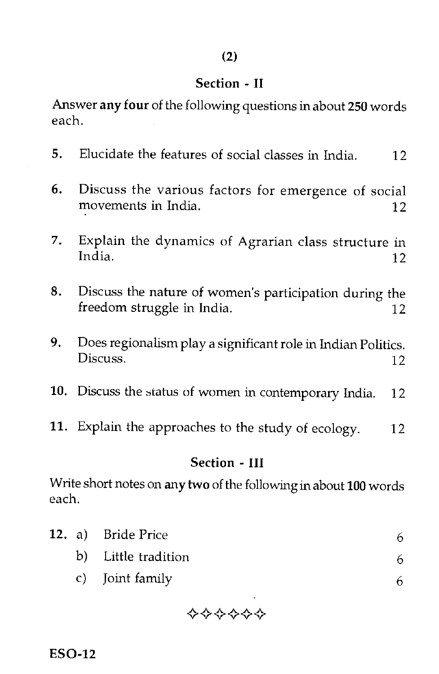### **Section - II**

Answer **any four** of the following questions in about **250** words each.

- 5. Elucidate the features of social classes in India. 12
- 6. Discuss the various factors for emergence of social movements in India. 12
- 7. Explain the dynamics of Agrarian class structure in India. 12
- 8. Discuss the nature of women's participation during the freedom struggle in India. 12
- 9. Does regionalism play a significant role in Indian Politics. Discuss. 12
- 10. Discuss the status of women in contemporary India. 12
- 11. Explain the approaches to the study of ecology. 12

#### **Section - III**

Write short notes on **any two** of the following in about **100** words each.

|  | 12. a) Bride Price  |    |
|--|---------------------|----|
|  | b) Little tradition | 6. |
|  | c) Joint family     |    |



**ESO-12**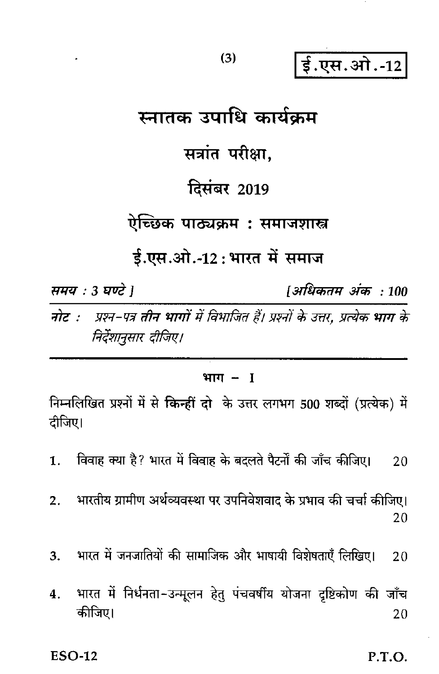ई.एस.ओ.-12

# स्नातक उपाधि कार्यकम सत्रांत परीक्षा. **दिसंबर 2019** ऐच्छिक पाठ्यक्रम : समाजशास्त्र ई.एस.ओ.-12:भारत में समाज समय : 3 घण्टे 1 [अधिकतम अंक : 100

प्रश्न-पत्र तीन भागों में विभाजित हैं। प्रश्नों के उत्तर, प्रत्येक भाग के नोट :-निर्देशानुसार दीजिए।

### भाग $-1$

निम्नलिखित प्रश्नों में से किन्हीं दो के उत्तर लगभग 500 शब्दों (प्रत्येक) में दीजिए।

विवाह क्या है? भारत में विवाह के बदलते पैटर्नों की जाँच कीजिए।  $\mathbf{1}$ . 20

भारतीय ग्रामीण अर्थव्यवस्था पर उपनिवेशवाद के प्रभाव की चर्चा कीजिए।  $2.$ 20

भारत में जनजातियों की सामाजिक और भाषायी विशेषताएँ लिखिए।  $3.$  $20$ 

भारत में निर्धनता-उन्मूलन हेत् पंचवर्षीय योजना दृष्टिकोण की जाँच 4. कीजिए। 20

**ESO-12** 

P.T.O.